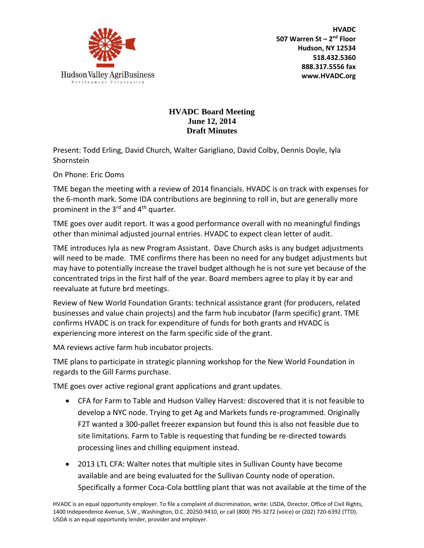

**HVADC 507 Warren St – 2 nd Floor Hudson, NY 12534 518.432.5360 888.317.5556 fax www.HVADC.org**

## **HVADC Board Meeting June 12, 2014 Draft Minutes**

Present: Todd Erling, David Church, Walter Garigliano, David Colby, Dennis Doyle, Iyla Shornstein

On Phone: Eric Ooms

TME began the meeting with a review of 2014 financials. HVADC is on track with expenses for the 6-month mark. Some IDA contributions are beginning to roll in, but are generally more prominent in the  $3<sup>rd</sup>$  and  $4<sup>th</sup>$  quarter.

TME goes over audit report. It was a good performance overall with no meaningful findings other than minimal adjusted journal entries. HVADC to expect clean letter of audit.

TME introduces Iyla as new Program Assistant. Dave Church asks is any budget adjustments will need to be made. TME confirms there has been no need for any budget adjustments but may have to potentially increase the travel budget although he is not sure yet because of the concentrated trips in the first half of the year. Board members agree to play it by ear and reevaluate at future brd meetings.

Review of New World Foundation Grants: technical assistance grant (for producers, related businesses and value chain projects) and the farm hub incubator (farm specific) grant. TME confirms HVADC is on track for expenditure of funds for both grants and HVADC is experiencing more interest on the farm specific side of the grant.

MA reviews active farm hub incubator projects.

TME plans to participate in strategic planning workshop for the New World Foundation in regards to the Gill Farms purchase.

TME goes over active regional grant applications and grant updates.

- CFA for Farm to Table and Hudson Valley Harvest: discovered that it is not feasible to develop a NYC node. Trying to get Ag and Markets funds re-programmed. Originally F2T wanted a 300-pallet freezer expansion but found this is also not feasible due to site limitations. Farm to Table is requesting that funding be re-directed towards processing lines and chilling equipment instead.
- 2013 LTL CFA: Walter notes that multiple sites in Sullivan County have become available and are being evaluated for the Sullivan County node of operation. Specifically a former Coca-Cola bottling plant that was not available at the time of the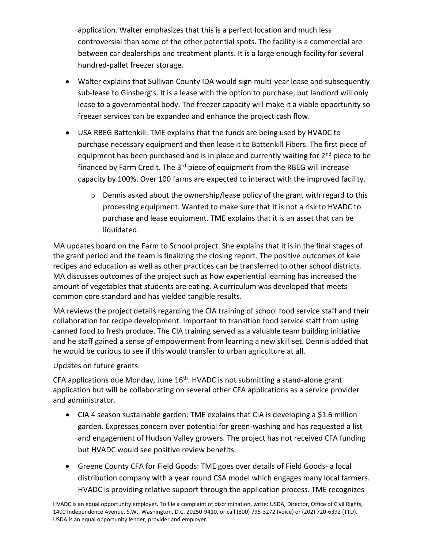application. Walter emphasizes that this is a perfect location and much less controversial than some of the other potential spots. The facility is a commercial are between car dealerships and treatment plants. It is a large enough facility for several hundred-pallet freezer storage.

- Walter explains that Sullivan County IDA would sign multi-year lease and subsequently sub-lease to Ginsberg's. It is a lease with the option to purchase, but landlord will only lease to a governmental body. The freezer capacity will make it a viable opportunity so freezer services can be expanded and enhance the project cash flow.
- USA RBEG Battenkill: TME explains that the funds are being used by HVADC to purchase necessary equipment and then lease it to Battenkill Fibers. The first piece of equipment has been purchased and is in place and currently waiting for  $2^{nd}$  piece to be financed by Farm Credit. The  $3<sup>rd</sup>$  piece of equipment from the RBEG will increase capacity by 100%. Over 100 farms are expected to interact with the improved facility.
	- $\circ$  Dennis asked about the ownership/lease policy of the grant with regard to this processing equipment. Wanted to make sure that it is not a risk to HVADC to purchase and lease equipment. TME explains that it is an asset that can be liquidated.

MA updates board on the Farm to School project. She explains that it is in the final stages of the grant period and the team is finalizing the closing report. The positive outcomes of kale recipes and education as well as other practices can be transferred to other school districts. MA discusses outcomes of the project such as how experiential learning has increased the amount of vegetables that students are eating. A curriculum was developed that meets common core standard and has yielded tangible results.

MA reviews the project details regarding the CIA training of school food service staff and their collaboration for recipe development. Important to transition food service staff from using canned food to fresh produce. The CIA training served as a valuable team building initiative and he staff gained a sense of empowerment from learning a new skill set. Dennis added that he would be curious to see if this would transfer to urban agriculture at all.

Updates on future grants:

CFA applications due Monday, June 16<sup>th</sup>. HVADC is not submitting a stand-alone grant application but will be collaborating on several other CFA applications as a service provider and administrator.

- CIA 4 season sustainable garden: TME explains that CIA is developing a \$1.6 million garden. Expresses concern over potential for green-washing and has requested a list and engagement of Hudson Valley growers. The project has not received CFA funding but HVADC would see positive review benefits.
- Greene County CFA for Field Goods: TME goes over details of Field Goods- a local distribution company with a year round CSA model which engages many local farmers. HVADC is providing relative support through the application process. TME recognizes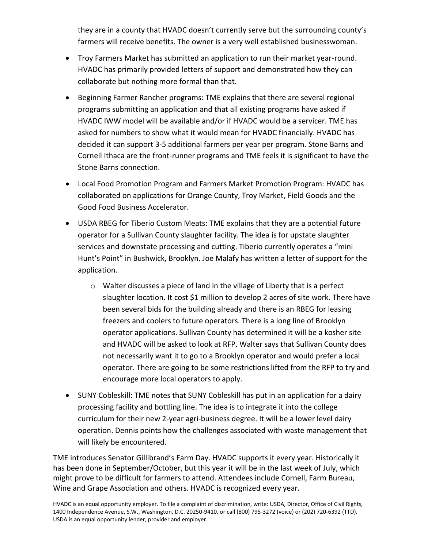they are in a county that HVADC doesn't currently serve but the surrounding county's farmers will receive benefits. The owner is a very well established businesswoman.

- Troy Farmers Market has submitted an application to run their market year-round. HVADC has primarily provided letters of support and demonstrated how they can collaborate but nothing more formal than that.
- Beginning Farmer Rancher programs: TME explains that there are several regional programs submitting an application and that all existing programs have asked if HVADC IWW model will be available and/or if HVADC would be a servicer. TME has asked for numbers to show what it would mean for HVADC financially. HVADC has decided it can support 3-5 additional farmers per year per program. Stone Barns and Cornell Ithaca are the front-runner programs and TME feels it is significant to have the Stone Barns connection.
- Local Food Promotion Program and Farmers Market Promotion Program: HVADC has collaborated on applications for Orange County, Troy Market, Field Goods and the Good Food Business Accelerator.
- USDA RBEG for Tiberio Custom Meats: TME explains that they are a potential future operator for a Sullivan County slaughter facility. The idea is for upstate slaughter services and downstate processing and cutting. Tiberio currently operates a "mini Hunt's Point" in Bushwick, Brooklyn. Joe Malafy has written a letter of support for the application.
	- o Walter discusses a piece of land in the village of Liberty that is a perfect slaughter location. It cost \$1 million to develop 2 acres of site work. There have been several bids for the building already and there is an RBEG for leasing freezers and coolers to future operators. There is a long line of Brooklyn operator applications. Sullivan County has determined it will be a kosher site and HVADC will be asked to look at RFP. Walter says that Sullivan County does not necessarily want it to go to a Brooklyn operator and would prefer a local operator. There are going to be some restrictions lifted from the RFP to try and encourage more local operators to apply.
- SUNY Cobleskill: TME notes that SUNY Cobleskill has put in an application for a dairy processing facility and bottling line. The idea is to integrate it into the college curriculum for their new 2-year agri-business degree. It will be a lower level dairy operation. Dennis points how the challenges associated with waste management that will likely be encountered.

TME introduces Senator Gillibrand's Farm Day. HVADC supports it every year. Historically it has been done in September/October, but this year it will be in the last week of July, which might prove to be difficult for farmers to attend. Attendees include Cornell, Farm Bureau, Wine and Grape Association and others. HVADC is recognized every year.